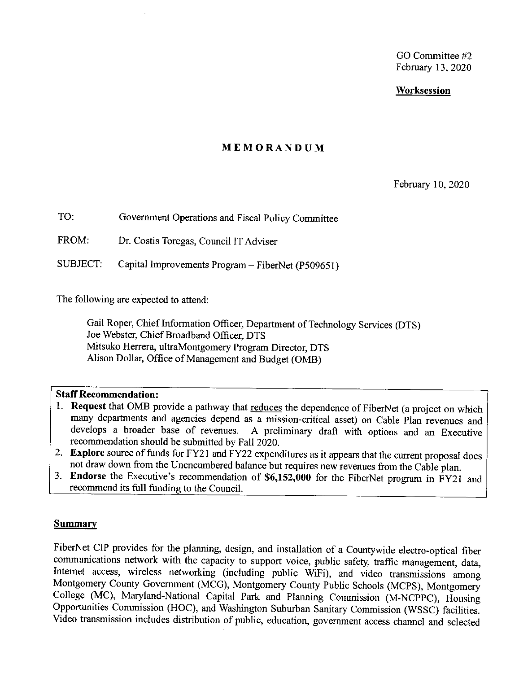GO Committee #2 February 13, 2020

#### **Worksession**

#### **MEMORANDUM**

February 10, 2020

TO: Government Operations and Fiscal Policy Committee

FROM: Dr. Costis Toregas, Council IT Adviser

SUBJECT: Capital Improvements Program - FiberNet (P50965 I)

The following are expected to attend:

Gail Roper, Chief Information Officer, Department of Technology Services (DTS) Joe Webster, Chief Broadband Officer, DTS Mitsuko Herrera, ultraMontgomery Program Director, DTS Alison Dollar, Office of Management and Budget (0MB)

#### **Staff Recommendation:**

- 1. **Request** that OMB provide a pathway that reduces the dependence of FiberNet (a project on which many departments and agencies depend as a mission-critical asset) on Cable Plan revenues and develops a broader base of revenues. A preliminary draft with options and an Executive A preliminary draft with options and an Executive recommendation should be submitted by Fall 2020.
- 2. **Explore** source of funds for FY21 and FY22 expenditures as it appears that the current proposal does not draw down from the Unencumbered balance but requires new revenues from the Cable plan.
- 3. **Endorse** the Executive's recommendation of **\$6,152,000** for the FiberNet program in FY2 I and recommend its full funding to the Council.

#### **Summary**

FiberNet CIP provides for the planning, design, and installation of a Countywide electro-optical fiber communications network with the capacity to support voice, public safety, traffic management, data, Internet access, wireless networking (including public WiFi), and video transmissions among Montgomery County Government (MCG), Montgomery County Public Schools (MCPS), Montgomery College (MC), Maryland-National Capital Park and Planning Commission (M-NCPPC), Housing Opportunities Commission (HOC), and Washington Suburban Sanitary Commission (WSSC) facilities. Video transmission includes distribution of public, education, government access channel and selected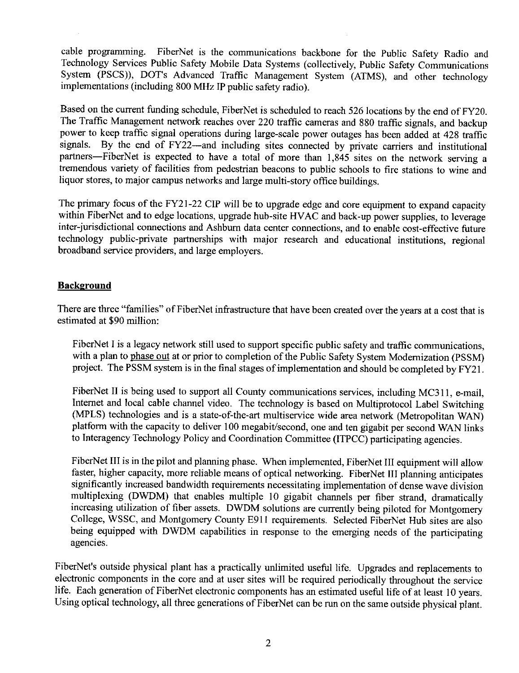cable programming. FiberNet is the communications backbone for the Public Safety Radio and Technology Services Public Safety Mobile Data Systems ( collectively, Public Safety Communications System (PSCS)), DOT's Advanced Traffic Management System (ATMS), and other technology implementations (including 800 MHz IP public safety radio).

Based on the current funding schedule, FiberNet is scheduled to reach 526 locations by the end of FY20. The Traffic Management network reaches over 220 traffic cameras and 880 traffic signals, and backup power to keep traffic signal operations during large-scale power outages has been added at 428 traffic signals. By the end of FY22-and including sites connected by private carriers and institutional partners-FiberNet is expected to have a total of more than 1,845 sites on the network serving a tremendous variety of facilities from pedestrian beacons to public schools to fire stations to wine and liquor stores, to major campus networks and large multi-story office buildings.

The primary focus of the FY21-22 CIP will be to upgrade edge and core equipment to expand capacity within FiberNet and to edge locations, upgrade hub-site HVAC and back-up power supplies, to leverage inter-jurisdictional connections and Ashburn data center connections, and to enable cost-effective future technology public-private partnerships with major research and educational institutions, regional broadband service providers, and large employers.

#### **Background**

There are three "families" of FiberNet infrastructure that have been created over the years at a cost that is estimated at \$90 million:

FiberNet I is a legacy network still used to support specific public safety and traffic communications, with a plan to phase out at or prior to completion of the Public Safety System Modernization (PSSM) project. The PSSM system is in the final stages of implementation and should be completed by FY21.

FiberNet II is being used to support all County communications services, including MC311, e-mail, Internet and local cable channel video. The technology is based on Multiprotocol Label Switching (MPLS) technologies and is a state-of-the-art multiservice wide area network (Metropolitan WAN) platform with the capacity to deliver 100 megabit/second, one and ten gigabit per second WAN links to Interagency Technology Policy and Coordination Committee (ITPCC) participating agencies.

FiberNet III is in the pilot and planning phase. When implemented, FiberNet III equipment will allow faster, higher capacity, more reliable means of optical networking. FiberNet III planning anticipates significantly increased bandwidth requirements necessitating implementation of dense wave division multiplexing (DWDM) that enables multiple 10 gigabit channels per fiber strand, dramatically increasing utilization of fiber assets. DWDM solutions are currently being piloted for Montgomery College, WSSC, and Montgomery County E911 requirements. Selected FiberNet Hub sites are also being equipped with DWDM capabilities in response to the emerging needs of the participating agencies.

FiberNet's outside physical plant has a practically unlimited useful life. Upgrades and replacements to electronic components in the core and at user sites will be required periodically throughout the service life. Each generation of FiberNet electronic components has an estimated useful life of at least 10 years. Using optical technology, all three generations of FiberNet can be run on the same outside physical plant.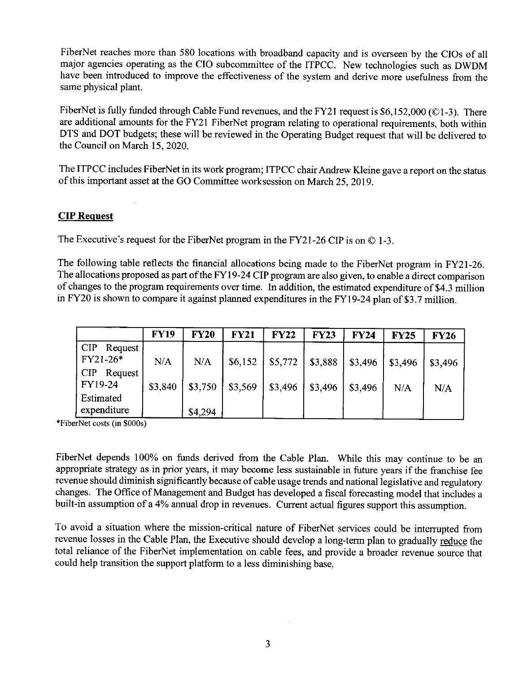FiberNet reaches more than 580 locations with broadband capacity and is overseen by the CIOs of all major agencies operating as the CIO subcommittee of the ITPCC. New technologies such as DWDM have been introduced to improve the effectiveness of the system and derive more usefulness from the same physical plant.

FiberNet is fully funded through Cable Fund revenues, and the FY21 request is \$6,152,000 (©1-3). There are additional amounts for the FY21 FiberNet program relating to operational requirements, both within DTS and DOT budgets; these will be reviewed in the Operating Budget request that will be delivered to the Council on March 15, 2020.

The ITPCC includes FiberNet in its work program; ITPCC chair Andrew Kleine gave a report on the status of this important asset at the GO Committee worksession on March 25, 2019.

#### **CIPReguest**

The Executive's request for the FiberNet program in the FY21-26 CIP is on  $\odot$  1-3.

The following table reflects the financial allocations being made to the FiberNet program in FY21-26. The allocations proposed as part of the FY19-24 CIP program are also given, to enable a direct comparison of changes to the program requirements over time. In addition, the estimated expenditure of \$4.3 million in FY20 is shown to compare it against planned expenditures in the FYI 9-24 plan of \$3.7 million.

|                                       | <b>FY19</b> | <b>FY20</b> | <b>FY21</b> | <b>FY22</b> | <b>FY23</b> | <b>FY24</b> | <b>FY25</b> | <b>FY26</b> |
|---------------------------------------|-------------|-------------|-------------|-------------|-------------|-------------|-------------|-------------|
| <b>CIP</b><br>Request /<br>$FY21-26*$ | N/A         | N/A         | \$6.152     | \$5,772     | \$3,888     | \$3,496     | \$3,496     | \$3,496     |
| CIP<br>Request<br>FY19-24             | \$3,840     | \$3,750     | \$3,569     | \$3,496     | \$3,496     | \$3,496     | N/A         | N/A         |
| Estimated<br>expenditure              |             | \$4,294     |             |             |             |             |             |             |

\*FiberNet costs (m \$000s)

FiberNet depends 100% on funds derived from the Cable Plan. While this may continue to be an appropriate strategy as in prior years, it may become less sustainable in future years if the franchise fee revenue should diminish significantly because of cable usage trends and national legislative and regulatory changes. The Office of Management and Budget has developed a fiscal forecasting model that includes a built-in assumption of a 4% annual drop in revenues. Current actual figures support this assumption.

To avoid a situation where the mission-critical nature of FiberNet services could be interrupted from revenue losses in the Cable Plan, the Executive should develop a long-term plan to gradually reduce the total reliance of the FiberNet implementation on cable fees, and provide a broader revenue source that could help transition the support platform to a less diminishing base,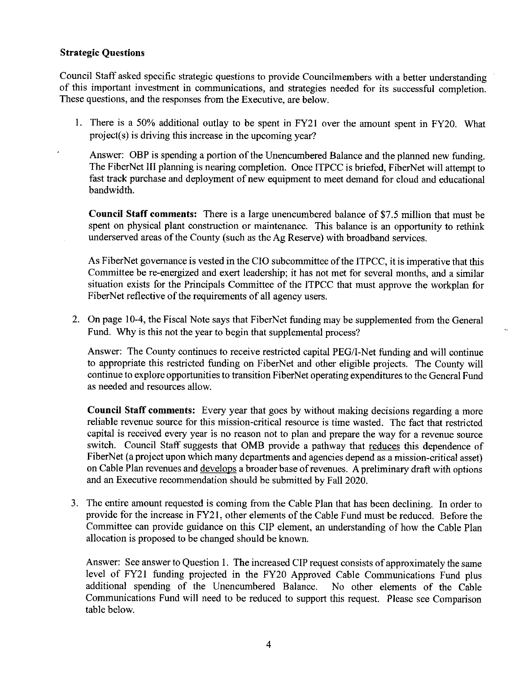#### **Strategic Questions**

Council Staff asked specific strategic questions to provide Councilmembers with a better understanding of this important investment in communications, and strategies needed for its successful completion. These questions, and the responses from the Executive, are below.

1. There is a 50% additional outlay to be spent in FY21 over the amount spent in FY20. What project(s) is driving this increase in the upcoming year?

Answer: OBP is spending a portion of the Unencumbered Balance and the planned new funding. The FiberNet III planning is nearing completion. Once ITPCC is briefed, FiberNet will attempt to fast track purchase and deployment of new equipment to meet demand for cloud and educational bandwidth.

**Council Staff comments:** There is a large unencumbered balance of \$7 .5 million that must be spent on physical plant construction or maintenance. This balance is an opportunity to rethink underserved areas of the County ( such as the Ag Reserve) with broadband services.

As FiberNet governance is vested in the CIO subcommittee of the ITPCC, it is imperative that this Committee be re-energized and exert leadership; it has not met for several months, and a similar situation exists for the Principals Committee of the ITPCC that must approve the workplan for FiberNet reflective of the requirements of all agency users.

2. On page 10-4, the Fiscal Note says that FiberNet funding may be supplemented from the General Fund. Why is this not the year to begin that supplemental process?

Answer: The County continues to receive restricted capital PEG/I-Net funding and will continue to appropriate this restricted funding on FiberNet and other eligible projects. The County will continue to explore opportunities to transition FiberNet operating expenditures to the General Fund as needed and resources allow.

**Council Staff comments:** Every year that goes by without making decisions regarding a more reliable revenue source for this mission-critical resource is time wasted. The fact that restricted capital is received every year is no reason not to plan and prepare the way for a revenue source switch. Council Staff suggests that 0MB provide a pathway that reduces this dependence of FiberNet (a project upon which many departments and agencies depend as a mission-critical asset) on Cable Plan revenues and develops a broader base of revenues. A preliminary draft with options and an Executive recommendation should be submitted by Fall 2020.

3. The entire amount requested is coming from the Cable Plan that has been declining. In order to provide for the increase in FY2 l, other elements of the Cable Fund must be reduced. Before the Committee can provide guidance on this CIP element, an understanding of how the Cable Plan allocation is proposed to be changed should be known.

Answer: See answer to Question 1. The increased CIP request consists of approximately the same level of FY21 funding projected in the FY20 Approved Cable Communications Fund plus additional spending of the Unencumbered Balance. No other elements of the Cable Communications Fund will need to be reduced to support this request. Please see Comparison table below.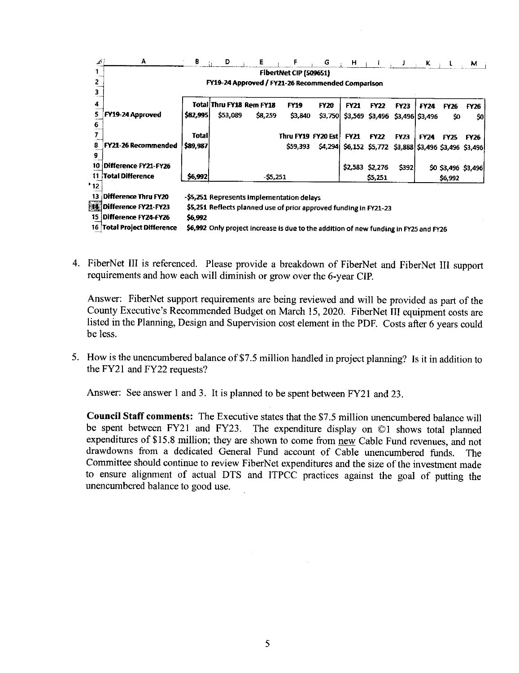| أقله            | A                                                 | ₿        | D                                                                                    | Е         | F                      | G           | $\mathbf{H}$ |                                                 |             | $\mathbf{K}$    | ŧ                   | м    |  |
|-----------------|---------------------------------------------------|----------|--------------------------------------------------------------------------------------|-----------|------------------------|-------------|--------------|-------------------------------------------------|-------------|-----------------|---------------------|------|--|
|                 |                                                   |          |                                                                                      |           | FibertNet CIP (509651) |             |              |                                                 |             |                 |                     |      |  |
|                 | FY19-24 Approved / FY21-26 Recommended Comparison |          |                                                                                      |           |                        |             |              |                                                 |             |                 |                     |      |  |
|                 |                                                   |          |                                                                                      |           |                        |             |              |                                                 |             |                 |                     |      |  |
| 4               |                                                   |          | <b>Total Thru FY18 Rem FY18</b>                                                      |           | <b>FY19</b>            | <b>FY20</b> | <b>FY21</b>  | <b>FY22</b>                                     | <b>FY23</b> | <b>FY24</b>     | FY26                | FY26 |  |
| 5               | FY19-24 Approved                                  | \$82,995 | \$53,089                                                                             | \$8,259   | \$3,840                | \$3,750     |              | \$3,569 \$3,496                                 |             | \$3,496 \$3,496 | \$0                 | 50   |  |
| 6               |                                                   |          |                                                                                      |           |                        |             |              |                                                 |             |                 |                     |      |  |
|                 |                                                   | Total    |                                                                                      |           | Thru FY19 FY20 Est     |             | <b>FY21</b>  | <b>FY22</b>                                     | <b>FY23</b> | <b>FY24</b>     | <b>FY25</b>         | FY26 |  |
| 8               | <b>FY21-26 Recommended</b>                        | \$89,987 |                                                                                      |           | \$59,393               | \$4,294     |              | \$6,152 \$5,772 \$3,888 \$3,496 \$3,496 \$3,496 |             |                 |                     |      |  |
| 9               |                                                   |          |                                                                                      |           |                        |             |              |                                                 |             |                 |                     |      |  |
| 10              | Difference FY21-FY26                              |          |                                                                                      |           |                        |             | \$2,583      | \$2,276                                         | \$392       |                 | \$0 \$3,496 \$3,496 |      |  |
| 11.             | <b>Total Difference</b>                           | \$6,992  |                                                                                      | $-55.251$ |                        |             |              | \$5,251                                         |             |                 | \$6,992             |      |  |
| 12 <sub>2</sub> |                                                   |          |                                                                                      |           |                        |             |              |                                                 |             |                 |                     |      |  |
| 13.             | <b>Difference Thru FY20</b>                       |          | -\$5,251 Represents implementation delays                                            |           |                        |             |              |                                                 |             |                 |                     |      |  |
|                 | <sup>图集</sup> Difference FY21-FY23                |          | \$5,251 Reflects planned use of prior approved funding in FY21-23                    |           |                        |             |              |                                                 |             |                 |                     |      |  |
|                 | 15 Difference FY24-FY26                           | \$6,992  |                                                                                      |           |                        |             |              |                                                 |             |                 |                     |      |  |
|                 | 16 Total Project Difference                       |          | \$6,992 Only project increase is due to the addition of new funding in FY25 and FY26 |           |                        |             |              |                                                 |             |                 |                     |      |  |

4. FiberNet III is referenced. Please provide a breakdown of FiberNet and FiberNet III support requirements and how each will diminish or grow over the 6-year CIP.

Answer: FiberNet support requirements are being reviewed and will be provided as part of the County Executive's Recommended Budget on March 15, 2020. FiberNet III equipment costs are listed in the Planning, Design and Supervision cost element in the PDE Costs after 6 years could be less.

5. How is the unencumbered balance of \$7.5 million handled in project planning? Is it in addition to the FY21 and FY22 requests?

Answer: See answer 1 and 3. It is planned to be spent between FY21 and 23.

**Council Staff comments:** The Executive states that the \$7 .5 million unencumbered balance will be spent between FY21 and FY23. The expenditure display on  $\odot$ 1 shows total planned expenditures of \$15.8 million; they are shown to come from new Cable Fund revenues, and not drawdowns from a dedicated General Fund account of Cable unencumbered funds. The Committee should continue to review FiberNet expenditures and the size of the investment made to ensure alignment of actual DTS and ITPCC practices against the goal of putting the unencumbered balance to good use.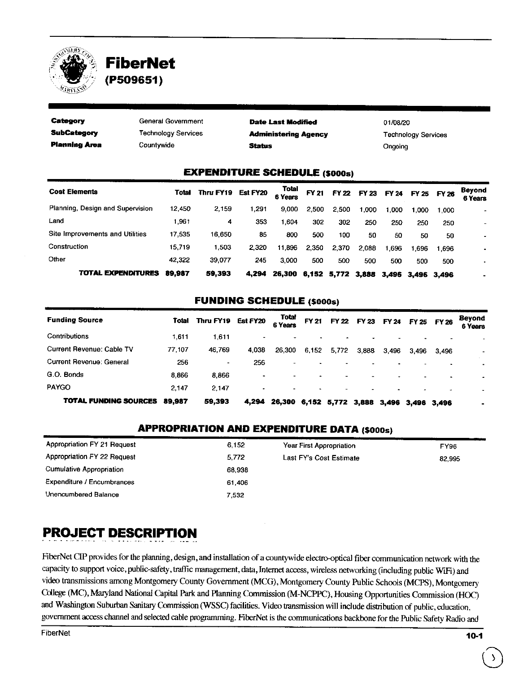

# ,<,,; **FiberNet** *j/* ';~\ j -, ' : • ,\_- *,:,,!•:* **(P509651)** / .

| Category                      | General Government         | <b>Date Last Modified</b>   | 01/08/20                   |  |  |  |  |  |  |
|-------------------------------|----------------------------|-----------------------------|----------------------------|--|--|--|--|--|--|
| <b>SubCategory</b>            | <b>Technology Services</b> | <b>Administering Agency</b> | <b>Technology Services</b> |  |  |  |  |  |  |
| <b>Planning Area</b>          | Countywide                 | <b>Status</b>               | Ongoing                    |  |  |  |  |  |  |
| FYPFNDITHPF SCHEDHI E /enna.) |                            |                             |                            |  |  |  |  |  |  |

#### **EXPENDITURE SCHEDULE** (\$000s)

| <b>Cost Elements</b>             | Total  | Thru FY19 | Est FY20 | Total<br>6 Years |       | FY 21 FY 22 FY 23       |       |      | FY 24 FY 25 FY 26 |       | <b>Beyond</b><br>6 Years |
|----------------------------------|--------|-----------|----------|------------------|-------|-------------------------|-------|------|-------------------|-------|--------------------------|
| Planning, Design and Supervision | 12,450 | 2,159     | 1.291    | 9.000            | 2.500 | 2.500                   | .000  | .000 | 1.000             | 1.000 |                          |
| Land                             | 1961   | 4         | 353      | 1.604            | 302   | 302                     | 250   | 250  | 250               | 250   | $\overline{\phantom{0}}$ |
| Site Improvements and Utilities  | 17.535 | 16.650    | 85       | 800              | 500   | 100                     | 50    | 50   | 50                | 50    | ۰                        |
| Construction                     | 15.719 | .503      | 2.320    | 11,896           | 2.350 | 2,370                   | 2.088 | .696 | 1.696             | 1.696 |                          |
| Other                            | 42.322 | 39,077    | 245      | 3.000            | 500   | 500                     | 500   | 500  | 500               | 500   | $\blacksquare$           |
| TOTAL EXPENDITURES               | 89.987 | 59,393    | 4.294    | 26,300           |       | 6,152 5,772 3,888 3,496 |       |      | 3,496 3,496       |       |                          |

#### **FUNDING SCHEDULE (\$000s)**

| <b>Funding Source</b>        | Total  | Thru FY19      | Est FY20 | <b>Total</b><br>6 Years |       | FY 21 FY 22 FY 23 FY 24 FY 25 FY 26 |       |       |             |       | Beyond<br>6 Years        |
|------------------------------|--------|----------------|----------|-------------------------|-------|-------------------------------------|-------|-------|-------------|-------|--------------------------|
| Contributions                | 1.611  | 1.611          |          |                         |       |                                     |       |       |             |       |                          |
| Current Revenue: Cable TV    | 77.107 | 46.769         | 4.038    | 26,300                  | 6.152 | 5,772                               | 3,888 | 3.496 | 3,496       | 3.496 | $\overline{\phantom{a}}$ |
| Current Revenue: General     | 256    | $\blacksquare$ | 256      |                         |       |                                     | -     |       |             |       |                          |
| G.O. Bonds                   | 8.866  | 8.866          | ۰        |                         |       |                                     | ۰     |       |             |       | ٠                        |
| PAYGO                        | 2.147  | 2.147          |          |                         |       |                                     |       |       |             |       |                          |
| <b>TOTAL FUNDING SOURCES</b> | 89.987 | 59,393         | 4.294    | 26,300 6,152            |       | 5,772 3,888 3,496                   |       |       | 3,496 3,496 |       | ٠                        |

### **APPROPRIATION AND EXPENDITURE DATA (\$000s)**

| Appropriation FY 21 Request | 6 1 5 2 | Year First Appropriation | <b>FY96</b> |
|-----------------------------|---------|--------------------------|-------------|
| Appropriation FY 22 Request | 5.772   | Last FY's Cost Estimate  | 82,995      |
| Cumulative Appropriation    | 68.938  |                          |             |
| Expenditure / Encumbrances  | 61.406  |                          |             |
| Unencumbered Balance        | 7.532   |                          |             |

# **PROJECT DESCRIPTION**

FiberNet CIP provides for the planning, design, and installation of a countywide electro-optical fiber communication network with the capacity to support voice, public-safety, traffic management, data, Internet access, wireless networking (including public WIFi) and video transmissions among Montgomery County Government (MCG), Montgomery County Public Schools (MCPS), Montgomery Cbllege (MC), Maryland National Capital Park and Planning Commission (M-NCPPC), Housing Opportunities Commission (HOC) and Washington Suburban Sanitary Commission (WSSC) facilities. Video transmission will include distribution of public, education, government access channel and selected cable programming. FiberNet is the communications backbone for the Public Safety Radio and

 $\bigodot$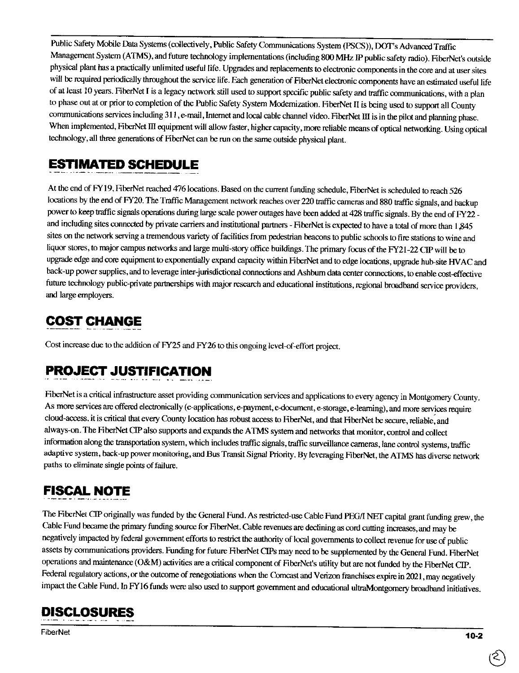Public Safety Mobile Data Systems (collectively, Public Safety Communications System (PSCS)), DOT's Advanced Traffic Management System (ATMS),and future technology implementations (including 800 MHz IP public safety radio). FiberNet's outside physical plant has a practically unlimited useful life. Upgrades and replacements to electronic components in the core and at user sites will be required periodically throughout the service life. Fach generation of FiberNet electronic components have an estimated useful life of at least IO years. FiberNet I is a legacy network still used to support specific public safety and traffic communications, with a plan to phase out at or prior to completion of the Public Safety System Modernization. FiberNet II is being used to support all County communications services including 311, e-mail, Internet and local cable channel video. FiberNet ID is in the pilot and planning phase. When implemented, FiberNet III equipment will allow faster, higher capacity, more reliable means of optical networking. Using optical technology, all three generations of Fiber Net can be run on the same outside physical plant.

### **ESTIMATED SCHEDULE**

At the end of FY19, FiberNet reached 476 locations. Based on the current funding schedule, FiberNet is scheduled to reach 526 locations by the end of FY20. The Traffic Management network reaches over 220 traffic cameras and 880 traffic signals, and backup power to keep traffic signals operations during large scale power outages have been added at 428 traffic signals. By the end of FY22 and including sites connected by private carriers and institutional partners - FiberNet is expected to have a total of more than 1,845 sites on the network serving a tremendous variety of facilities from pedestrian beacons to public schools to fire stations to wine and liquor stores, to major campus networks and large multi-story office buildings. The primary focus of the FY21-22 CIP will be to upgrade edge and core equipment to exponentially expand capacity within FiberNet and to edge locations, upgrade hub-site HV AC and back-up power supplies, and to leverage inter-jurisdictional connections and Ashburn data center connections, to enable cost-effective future technology public-private partnerships with major research and educational institutions, regional broadband service providers, and large employers.

### **COST CHANGE**

Cost increase due to the addition of FY25 and FY26 to this ongoing level-of-effort project.

# **PROJECT JUSTIFICATION**

FiberNet is a critical infrastructure asset providing communication services and applications to every agency in Montgomery County. As more services are offered electronically (e-applications, e-payment, e-document, e-storage, e-learning), and more services require cloud-access. it is critical that every County location has robust access to FiberNet, and that FiberNet **be** secure, reliable, and always-on. The FiberNet CIP also supports and expands the A **TMS** system and networks that monitor, control and collect information along the transportation system, which includes traffic signals, traffic surveillance cameras, lane control systems, traffic adaptive system, back-up power monitoring, and Bus Transit Signal Priority. By leveraging FiberNet, the ATMS has diverse network paths to eliminate single points of failure.

# **FISCAL NOTE**

The FiberNet CIP originally was funded by the General Fund. As restricted-use Cable Fund PEG/I NET capital grant funding grew, the Cable Fund became the primary funding source for FiberNet. Cable revenues are declining as cord cutting increases, and may be negatively impacted by federal government efforts to restrict the authority of local governments to collect revenue for use of public assets by communications providers. Funding for future FiberNet CIPs may need to be supplemented by the General Fund. FiberNet operations and maintenance (O&M) activities are a critical component of FiberNet's utility but are not funded by the FiberNet CIP. Federal regulatory actions, or the outcome of renegotiations when the Comcast and Verizon franchises expire in 2021, may negatively impact the Cable Fund. In FYl6 funds were also used to support government and educational ultraMontgomery broadband initiatives.

### **DISCLOSURES**

FiberNet **10-2**